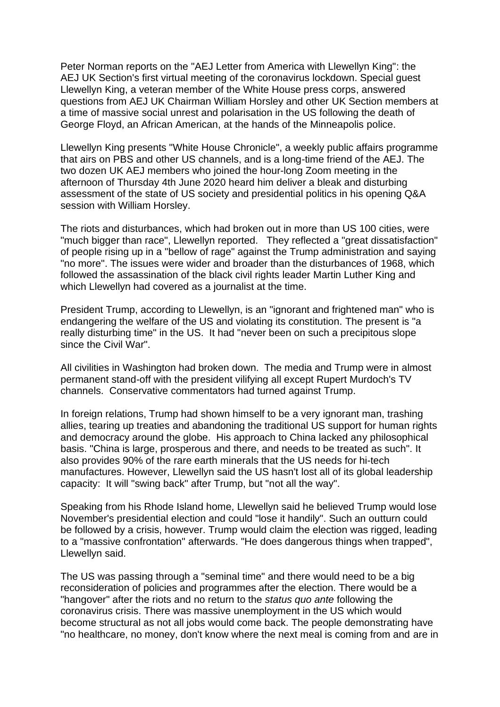Peter Norman reports on the "AEJ Letter from America with Llewellyn King": the AEJ UK Section's first virtual meeting of the coronavirus lockdown. Special guest Llewellyn King, a veteran member of the White House press corps, answered questions from AEJ UK Chairman William Horsley and other UK Section members at a time of massive social unrest and polarisation in the US following the death of George Floyd, an African American, at the hands of the Minneapolis police.

Llewellyn King presents "White House Chronicle", a weekly public affairs programme that airs on PBS and other US channels, and is a long-time friend of the AEJ. The two dozen UK AEJ members who joined the hour-long Zoom meeting in the afternoon of Thursday 4th June 2020 heard him deliver a bleak and disturbing assessment of the state of US society and presidential politics in his opening Q&A session with William Horsley.

The riots and disturbances, which had broken out in more than US 100 cities, were "much bigger than race", Llewellyn reported. They reflected a "great dissatisfaction" of people rising up in a "bellow of rage" against the Trump administration and saying "no more". The issues were wider and broader than the disturbances of 1968, which followed the assassination of the black civil rights leader Martin Luther King and which Llewellyn had covered as a journalist at the time.

President Trump, according to Llewellyn, is an "ignorant and frightened man" who is endangering the welfare of the US and violating its constitution. The present is "a really disturbing time" in the US. It had "never been on such a precipitous slope since the Civil War".

All civilities in Washington had broken down. The media and Trump were in almost permanent stand-off with the president vilifying all except Rupert Murdoch's TV channels. Conservative commentators had turned against Trump.

In foreign relations, Trump had shown himself to be a very ignorant man, trashing allies, tearing up treaties and abandoning the traditional US support for human rights and democracy around the globe. His approach to China lacked any philosophical basis. "China is large, prosperous and there, and needs to be treated as such". It also provides 90% of the rare earth minerals that the US needs for hi-tech manufactures. However, Llewellyn said the US hasn't lost all of its global leadership capacity: It will "swing back" after Trump, but "not all the way".

Speaking from his Rhode Island home, Llewellyn said he believed Trump would lose November's presidential election and could "lose it handily". Such an outturn could be followed by a crisis, however. Trump would claim the election was rigged, leading to a "massive confrontation" afterwards. "He does dangerous things when trapped", Llewellyn said.

The US was passing through a "seminal time" and there would need to be a big reconsideration of policies and programmes after the election. There would be a "hangover" after the riots and no return to the *status quo ante* following the coronavirus crisis. There was massive unemployment in the US which would become structural as not all jobs would come back. The people demonstrating have "no healthcare, no money, don't know where the next meal is coming from and are in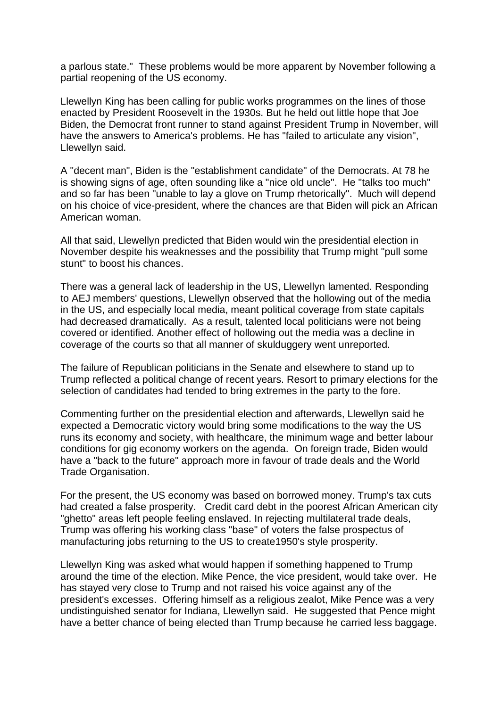a parlous state." These problems would be more apparent by November following a partial reopening of the US economy.

Llewellyn King has been calling for public works programmes on the lines of those enacted by President Roosevelt in the 1930s. But he held out little hope that Joe Biden, the Democrat front runner to stand against President Trump in November, will have the answers to America's problems. He has "failed to articulate any vision", Llewellyn said.

A "decent man", Biden is the "establishment candidate" of the Democrats. At 78 he is showing signs of age, often sounding like a "nice old uncle". He "talks too much" and so far has been "unable to lay a glove on Trump rhetorically". Much will depend on his choice of vice-president, where the chances are that Biden will pick an African American woman.

All that said, Llewellyn predicted that Biden would win the presidential election in November despite his weaknesses and the possibility that Trump might "pull some stunt" to boost his chances.

There was a general lack of leadership in the US, Llewellyn lamented. Responding to AEJ members' questions, Llewellyn observed that the hollowing out of the media in the US, and especially local media, meant political coverage from state capitals had decreased dramatically. As a result, talented local politicians were not being covered or identified. Another effect of hollowing out the media was a decline in coverage of the courts so that all manner of skulduggery went unreported.

The failure of Republican politicians in the Senate and elsewhere to stand up to Trump reflected a political change of recent years. Resort to primary elections for the selection of candidates had tended to bring extremes in the party to the fore.

Commenting further on the presidential election and afterwards, Llewellyn said he expected a Democratic victory would bring some modifications to the way the US runs its economy and society, with healthcare, the minimum wage and better labour conditions for gig economy workers on the agenda. On foreign trade, Biden would have a "back to the future" approach more in favour of trade deals and the World Trade Organisation.

For the present, the US economy was based on borrowed money. Trump's tax cuts had created a false prosperity. Credit card debt in the poorest African American city "ghetto" areas left people feeling enslaved. In rejecting multilateral trade deals, Trump was offering his working class "base" of voters the false prospectus of manufacturing jobs returning to the US to create1950's style prosperity.

Llewellyn King was asked what would happen if something happened to Trump around the time of the election. Mike Pence, the vice president, would take over. He has stayed very close to Trump and not raised his voice against any of the president's excesses. Offering himself as a religious zealot, Mike Pence was a very undistinguished senator for Indiana, Llewellyn said. He suggested that Pence might have a better chance of being elected than Trump because he carried less baggage.